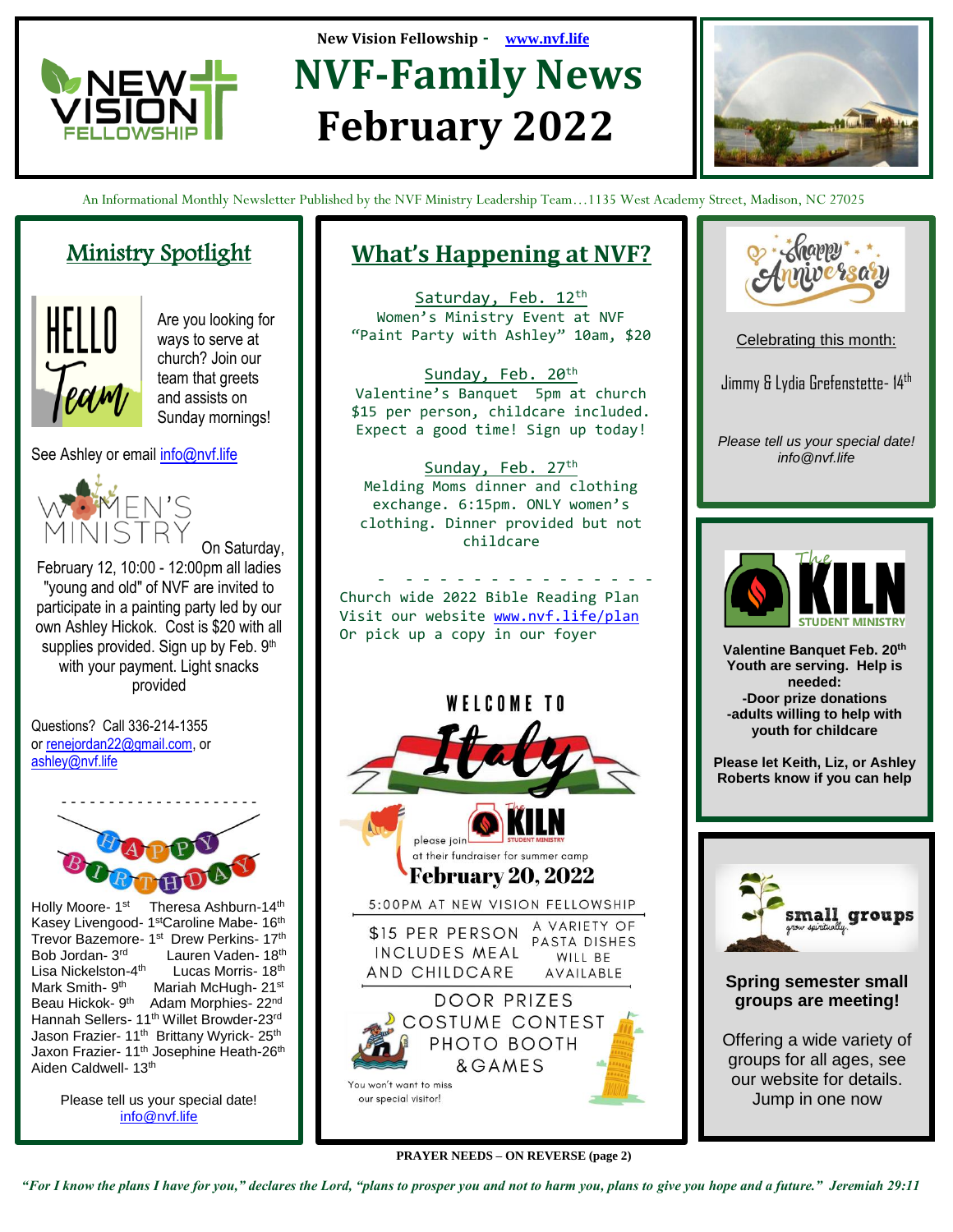

# **New Vision Fellowship - [www.nvf.life](http://www.nvf.life/) MONEW 4-2 NVF-Family News February 2022**



An Informational Monthly Newsletter Published by the NVF Ministry Leadership Team…1135 West Academy Street, Madison, NC 27025

### Ministry Spotlight



j

Are you looking for ways to serve at church? Join our team that greets and assists on Sunday mornings!

See Ashley or email [info@nvf.life](mailto:info@nvf.life)



On Saturday, February 12, 10:00 - 12:00pm all ladies "young and old" of NVF are invited to participate in a painting party led by our own Ashley Hickok. Cost is \$20 with all supplies provided. Sign up by Feb. 9th with your payment. Light snacks provided

Questions? Call 336-214-1355 or [renejordan22@gmail.com,](mailto:renejordan22@gmail.com) or [ashley@nvf.life](mailto:ashley@nvf.life)



Holly Moore- 1<sup>st</sup> Theresa Ashburn-14<sup>th</sup> Kasey Livengood- 1<sup>st</sup>Caroline Mabe- 16<sup>th</sup> Trevor Bazemore- 1st Drew Perkins- 17th Bob Jordan- 3 rd Lauren Vaden- 18<sup>th</sup> Lisa Nickelston-4<sup>th</sup> Lucas Morris- 18th Mark Smith- 9<sup>th</sup> Mariah McHugh- 21st Beau Hickok- 9<sup>th</sup> Adam Morphies- 22<sup>nd</sup> Hannah Sellers- 11<sup>th</sup> Willet Browder-23rd Jason Frazier- 11<sup>th</sup> Brittany Wyrick- 25<sup>th</sup> Jaxon Frazier- 11<sup>th</sup> Josephine Heath-26<sup>th</sup> Aiden Caldwell- 13th

> Please tell us your special date! [info@nvf.life](mailto:info@nvf.life)

## **What's Happening at NVF?**

Saturday, Feb. 12th Women's Ministry Event at NVF "Paint Party with Ashley" 10am, \$20

Sunday, Feb. 20<sup>th</sup> Valentine's Banquet 5pm at church \$15 per person, childcare included. Expect a good time! Sign up today!

Sunday, Feb. 27<sup>th</sup> Melding Moms dinner and clothing exchange. 6:15pm. ONLY women's clothing. Dinner provided but not childcare

- - - - - - - - - - - - - - - - Church wide 2022 Bible Reading Plan Visit our website [www.nvf.life/plan](http://www.nvf.life/plan) Or pick up a copy in our foyer





Celebrating this month:

Jimmy & Lydia Grefenstette- 14th

*Please tell us your special date! info@nvf.life*



Valentine Banquet Feb. 20<sup>th</sup> **Youth are serving. Help is needed: -Door prize donations -adults willing to help with youth for childcare**

**Please let Keith, Liz, or Ashley Roberts know if you can help** 



**Spring semester small groups are meeting!**

Offering a wide variety of groups for all ages, see our website for details. Jump in one now

You won't want to miss our special visitor!

**PRAYER NEEDS – ON REVERSE (page 2)**